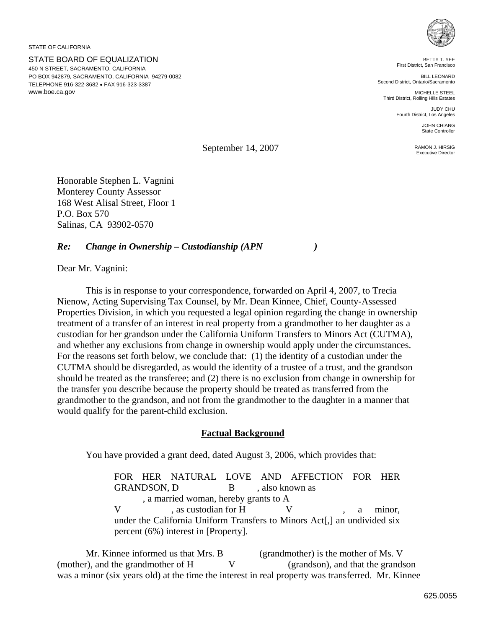STATE OF CALIFORNIA

STATE BOARD OF EQUALIZATION 450 N STREET, SACRAMENTO, CALIFORNIA PO BOX 942879, SACRAMENTO, CALIFORNIA 94279-0082 TELEPHONE 916-322-3682 • FAX 916-323-3387 www.boe.ca.gov



BETTY T. YEE First District, San Francisco

BILL LEONARD Second District, Ontario/Sacramento

Third District, Rolling Hills Estates JUDY CHU

Fourth District, Los Angeles

MICHELLE STEEL

JOHN CHIANG State Controller

RAMON J. HIRSIG Executive Director

September 14, 2007

Honorable Stephen L. Vagnini Monterey County Assessor 168 West Alisal Street, Floor 1 P.O. Box 570 Salinas, CA 93902-0570

## *Re: Change in Ownership – Custodianship (APN )*

Dear Mr. Vagnini:

This is in response to your correspondence, forwarded on April 4, 2007, to Trecia Nienow, Acting Supervising Tax Counsel, by Mr. Dean Kinnee, Chief, County-Assessed Properties Division, in which you requested a legal opinion regarding the change in ownership treatment of a transfer of an interest in real property from a grandmother to her daughter as a custodian for her grandson under the California Uniform Transfers to Minors Act (CUTMA), and whether any exclusions from change in ownership would apply under the circumstances. For the reasons set forth below, we conclude that: (1) the identity of a custodian under the CUTMA should be disregarded, as would the identity of a trustee of a trust, and the grandson should be treated as the transferee; and (2) there is no exclusion from change in ownership for the transfer you describe because the property should be treated as transferred from the grandmother to the grandson, and not from the grandmother to the daughter in a manner that would qualify for the parent-child exclusion.

# **Factual Background**

You have provided a grant deed, dated August 3, 2006, which provides that:

FOR HER NATURAL LOVE AND AFFECTION FOR HER GRANDSON, D B , also known as , a married woman, hereby grants to A V , as custodian for H V, a minor, under the California Uniform Transfers to Minors Act[,] an undivided six percent (6%) interest in [Property].

Mr. Kinnee informed us that Mrs. B (grandmother) is the mother of Ms. V (mother), and the grandmother of H V (grandson), and that the grandson was a minor (six years old) at the time the interest in real property was transferred. Mr. Kinnee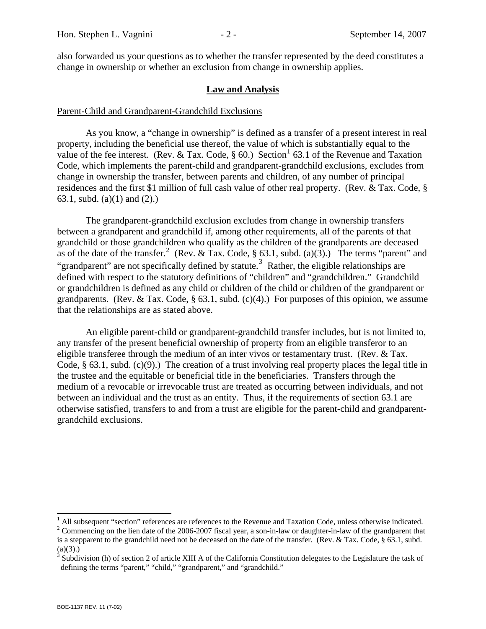also forwarded us your questions as to whether the transfer represented by the deed constitutes a change in ownership or whether an exclusion from change in ownership applies.

# **Law and Analysis**

### Parent-Child and Grandparent-Grandchild Exclusions

As you know, a "change in ownership" is defined as a transfer of a present interest in real property, including the beneficial use thereof, the value of which is substantially equal to the value of the fee interest. (Rev. & Tax. Code,  $\S$  60.) Section<sup>[1](#page-1-0)</sup> 63.1 of the Revenue and Taxation Code, which implements the parent-child and grandparent-grandchild exclusions, excludes from change in ownership the transfer, between parents and children, of any number of principal residences and the first \$1 million of full cash value of other real property. (Rev. & Tax. Code, § 63.1, subd. (a)(1) and (2).)

The grandparent-grandchild exclusion excludes from change in ownership transfers between a grandparent and grandchild if, among other requirements, all of the parents of that grandchild or those grandchildren who qualify as the children of the grandparents are deceased as of the date of the transfer.<sup>[2](#page-1-1)</sup> (Rev. & Tax. Code, § 63.1, subd. (a)(3).) The terms "parent" and "grandparent" are not specifically defined by statute.<sup>[3](#page-1-2)</sup> Rather, the eligible relationships are defined with respect to the statutory definitions of "children" and "grandchildren." Grandchild or grandchildren is defined as any child or children of the child or children of the grandparent or grandparents. (Rev. & Tax. Code, § 63.1, subd. (c)(4).) For purposes of this opinion, we assume that the relationships are as stated above.

An eligible parent-child or grandparent-grandchild transfer includes, but is not limited to, any transfer of the present beneficial ownership of property from an eligible transferor to an eligible transferee through the medium of an inter vivos or testamentary trust. (Rev. & Tax. Code,  $\S$  63.1, subd. (c)(9).) The creation of a trust involving real property places the legal title in the trustee and the equitable or beneficial title in the beneficiaries. Transfers through the medium of a revocable or irrevocable trust are treated as occurring between individuals, and not between an individual and the trust as an entity. Thus, if the requirements of section 63.1 are otherwise satisfied, transfers to and from a trust are eligible for the parent-child and grandparentgrandchild exclusions.

<span id="page-1-0"></span><sup>&</sup>lt;sup>1</sup> All subsequent "section" references are references to the Revenue and Taxation Code, unless otherwise indicated.

<span id="page-1-1"></span><sup>&</sup>lt;sup>2</sup> Commencing on the lien date of the 2006-2007 fiscal year, a son-in-law or daughter-in-law of the grandparent that is a stepparent to the grandchild need not be deceased on the date of the transfer. (Rev. & Tax. Code,  $\S$  63.1, subd.  $(a)(3)$ .)

<span id="page-1-2"></span> $3$  Subdivision (h) of section 2 of article XIII A of the California Constitution delegates to the Legislature the task of defining the terms "parent," "child," "grandparent," and "grandchild."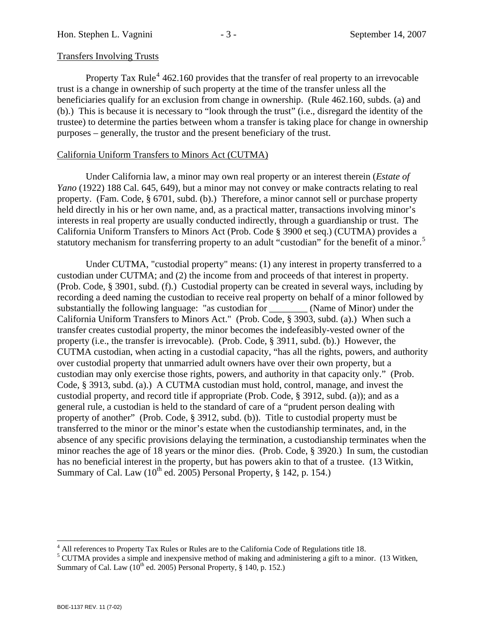## Transfers Involving Trusts

Property Tax Rule<sup>[4](#page-2-0)</sup> 462.160 provides that the transfer of real property to an irrevocable trust is a change in ownership of such property at the time of the transfer unless all the beneficiaries qualify for an exclusion from change in ownership. (Rule 462.160, subds. (a) and (b).) This is because it is necessary to "look through the trust" (i.e., disregard the identity of the trustee) to determine the parties between whom a transfer is taking place for change in ownership purposes – generally, the trustor and the present beneficiary of the trust.

### California Uniform Transfers to Minors Act (CUTMA)

Under California law, a minor may own real property or an interest therein (*Estate of Yano* (1922) 188 Cal. 645, 649), but a minor may not convey or make contracts relating to real property. (Fam. Code, § 6701, subd. (b).) Therefore, a minor cannot sell or purchase property held directly in his or her own name, and, as a practical matter, transactions involving minor's interests in real property are usually conducted indirectly, through a guardianship or trust. The California Uniform Transfers to Minors Act (Prob. Code § 3900 et seq.) (CUTMA) provides a statutory mechanism for transferring property to an adult "custodian" for the benefit of a minor.<sup>[5](#page-2-1)</sup>

Under CUTMA, "custodial property" means: (1) any interest in property transferred to a custodian under CUTMA; and (2) the income from and proceeds of that interest in property. (Prob. Code, § 3901, subd. (f).) Custodial property can be created in several ways, including by recording a deed naming the custodian to receive real property on behalf of a minor followed by substantially the following language: "as custodian for \_\_\_\_\_\_\_\_ (Name of Minor) under the California Uniform Transfers to Minors Act." (Prob. Code, § 3903, subd. (a).) When such a transfer creates custodial property, the minor becomes the indefeasibly-vested owner of the property (i.e., the transfer is irrevocable). (Prob. Code, § 3911, subd. (b).) However, the CUTMA custodian, when acting in a custodial capacity, "has all the rights, powers, and authority over custodial property that unmarried adult owners have over their own property, but a custodian may only exercise those rights, powers, and authority in that capacity only." (Prob. Code, § 3913, subd. (a).) A CUTMA custodian must hold, control, manage, and invest the custodial property, and record title if appropriate (Prob. Code, § 3912, subd. (a)); and as a general rule, a custodian is held to the standard of care of a "prudent person dealing with property of another" (Prob. Code, § 3912, subd. (b)). Title to custodial property must be transferred to the minor or the minor's estate when the custodianship terminates, and, in the absence of any specific provisions delaying the termination, a custodianship terminates when the minor reaches the age of 18 years or the minor dies. (Prob. Code, § 3920.) In sum, the custodian has no beneficial interest in the property, but has powers akin to that of a trustee. (13 Witkin, Summary of Cal. Law  $(10^{th}$  ed. 2005) Personal Property, § 142, p. 154.)

<sup>&</sup>lt;sup>4</sup> All references to Property Tax Rules or Rules are to the California Code of Regulations title 18.

<span id="page-2-1"></span><span id="page-2-0"></span><sup>&</sup>lt;sup>5</sup> CUTMA provides a simple and inexpensive method of making and administering a gift to a minor. (13 Witken, Summary of Cal. Law  $(10^{th}$  ed. 2005) Personal Property, § 140, p. 152.)